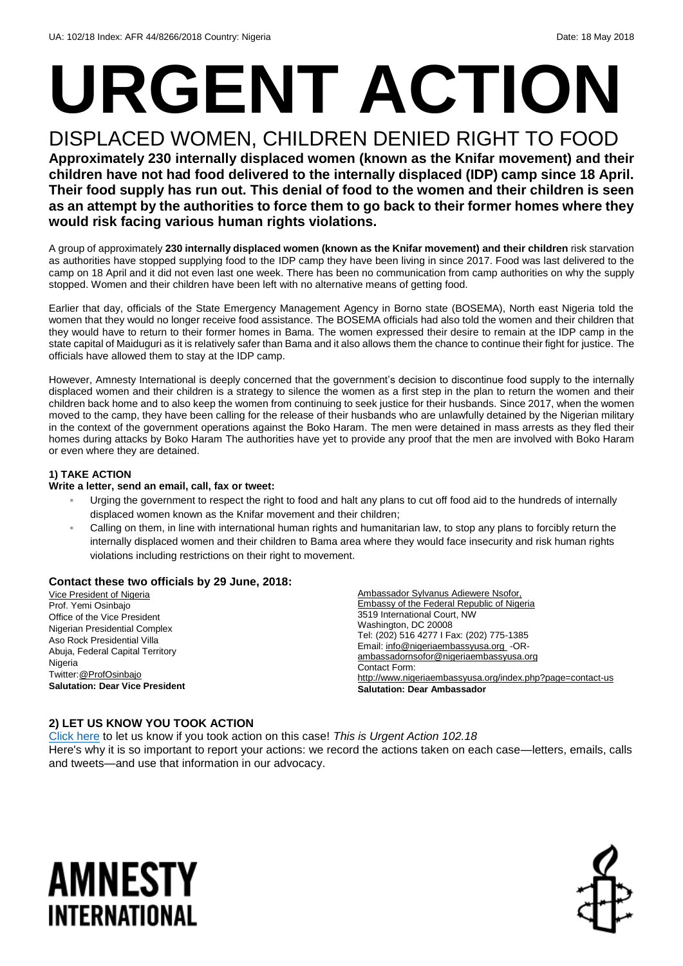# **URGENT ACTION**

DISPLACED WOMEN, CHILDREN DENIED RIGHT TO FOOD **Approximately 230 internally displaced women (known as the Knifar movement) and their children have not had food delivered to the internally displaced (IDP) camp since 18 April. Their food supply has run out. This denial of food to the women and their children is seen as an attempt by the authorities to force them to go back to their former homes where they would risk facing various human rights violations.**

A group of approximately **230 internally displaced women (known as the Knifar movement) and their children** risk starvation as authorities have stopped supplying food to the IDP camp they have been living in since 2017. Food was last delivered to the camp on 18 April and it did not even last one week. There has been no communication from camp authorities on why the supply stopped. Women and their children have been left with no alternative means of getting food.

Earlier that day, officials of the State Emergency Management Agency in Borno state (BOSEMA), North east Nigeria told the women that they would no longer receive food assistance. The BOSEMA officials had also told the women and their children that they would have to return to their former homes in Bama. The women expressed their desire to remain at the IDP camp in the state capital of Maiduguri as it is relatively safer than Bama and it also allows them the chance to continue their fight for justice. The officials have allowed them to stay at the IDP camp.

However, Amnesty International is deeply concerned that the government's decision to discontinue food supply to the internally displaced women and their children is a strategy to silence the women as a first step in the plan to return the women and their children back home and to also keep the women from continuing to seek justice for their husbands. Since 2017, when the women moved to the camp, they have been calling for the release of their husbands who are unlawfully detained by the Nigerian military in the context of the government operations against the Boko Haram. The men were detained in mass arrests as they fled their homes during attacks by Boko Haram The authorities have yet to provide any proof that the men are involved with Boko Haram or even where they are detained.

#### **1) TAKE ACTION**

#### **Write a letter, send an email, call, fax or tweet:**

- Urging the government to respect the right to food and halt any plans to cut off food aid to the hundreds of internally displaced women known as the Knifar movement and their children;
- Calling on them, in line with international human rights and humanitarian law, to stop any plans to forcibly return the internally displaced women and their children to Bama area where they would face insecurity and risk human rights violations including restrictions on their right to movement.

#### **Contact these two officials by 29 June, 2018:**

Vice President of Nigeria Prof. Yemi Osinbajo Office of the Vice President Nigerian Presidential Complex Aso Rock Presidential Villa Abuja, Federal Capital Territory Nigeria Twitter[:@ProfOsinbajo](https://twitter.com/ProfOsinbajo?ref_src=twsrc%5Egoogle%7Ctwcamp%5Eserp%7Ctwgr%5Eauthor) **Salutation: Dear Vice President** Ambassador Sylvanus Adiewere Nsofor, Embassy of the Federal Republic of Nigeria 3519 International Court, NW Washington, DC 20008 Tel: (202) 516 4277 I Fax: (202) 775-1385 Email[: info@nigeriaembassyusa.org](mailto:info@nigeriaembassyusa.org) -OR[ambassadornsofor@nigeriaembassyusa.org](mailto:ambassadornsofor@nigeriaembassyusa.org) Contact Form: <http://www.nigeriaembassyusa.org/index.php?page=contact-us> **Salutation: Dear Ambassador**

#### **2) LET US KNOW YOU TOOK ACTION**

[Click here](https://www.amnestyusa.org/report-urgent-actions/) to let us know if you took action on this case! *This is Urgent Action 102.18* Here's why it is so important to report your actions: we record the actions taken on each case—letters, emails, calls and tweets—and use that information in our advocacy.